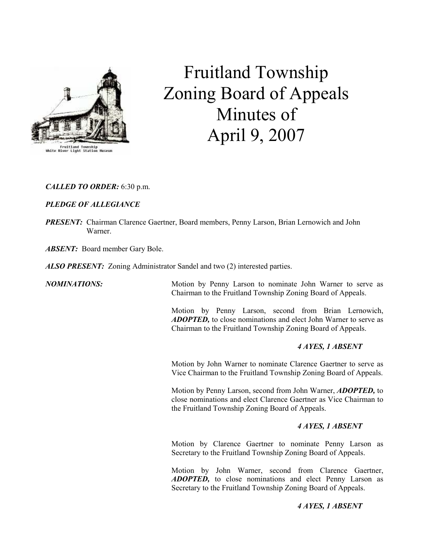

# Fruitland Township Zoning Board of Appeals Minutes of April 9, 2007

# CALLED TO ORDER: 6:30 p.m.

# PLEDGE OF ALLEGIANCE

PRESENT: Chairman Clarence Gaertner, Board members, Penny Larson, Brian Lernowich and John Warner.

ABSENT: Board member Gary Bole.

ALSO PRESENT: Zoning Administrator Sandel and two (2) interested parties.

**NOMINATIONS:** Motion by Penny Larson to nominate John Warner to serve as Chairman to the Fruitland Township Zoning Board of Appeals.

> Motion by Penny Larson, second from Brian Lernowich, ADOPTED, to close nominations and elect John Warner to serve as Chairman to the Fruitland Township Zoning Board of Appeals.

# 4 AYES, 1 ABSENT

Motion by John Warner to nominate Clarence Gaertner to serve as Vice Chairman to the Fruitland Township Zoning Board of Appeals.

Motion by Penny Larson, second from John Warner, **ADOPTED**, to close nominations and elect Clarence Gaertner as Vice Chairman to the Fruitland Township Zoning Board of Appeals.

# 4 AYES, 1 ABSENT

Motion by Clarence Gaertner to nominate Penny Larson as Secretary to the Fruitland Township Zoning Board of Appeals.

Motion by John Warner, second from Clarence Gaertner, ADOPTED, to close nominations and elect Penny Larson as Secretary to the Fruitland Township Zoning Board of Appeals.

### 4 AYES, 1 ABSENT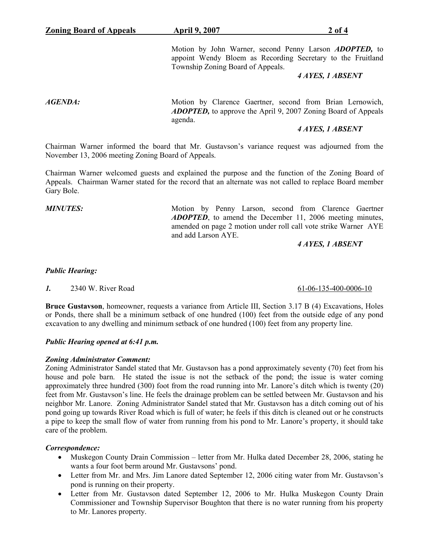Motion by John Warner, second Penny Larson **ADOPTED**, to appoint Wendy Bloem as Recording Secretary to the Fruitland Township Zoning Board of Appeals.

#### 4 AYES, 1 ABSENT

AGENDA: Motion by Clarence Gaertner, second from Brian Lernowich, ADOPTED, to approve the April 9, 2007 Zoning Board of Appeals agenda.

## 4 AYES, 1 ABSENT

Chairman Warner informed the board that Mr. Gustavson's variance request was adjourned from the November 13, 2006 meeting Zoning Board of Appeals.

Chairman Warner welcomed guests and explained the purpose and the function of the Zoning Board of Appeals. Chairman Warner stated for the record that an alternate was not called to replace Board member Gary Bole.

MINUTES: Motion by Penny Larson, second from Clarence Gaertner ADOPTED, to amend the December 11, 2006 meeting minutes, amended on page 2 motion under roll call vote strike Warner AYE and add Larson AYE.

### 4 AYES, 1 ABSENT

#### Public Hearing:

1. 2340 W. River Road 61-06-135-400-0006-10

Bruce Gustavson, homeowner, requests a variance from Article III, Section 3.17 B (4) Excavations, Holes or Ponds, there shall be a minimum setback of one hundred (100) feet from the outside edge of any pond excavation to any dwelling and minimum setback of one hundred (100) feet from any property line.

#### Public Hearing opened at 6:41 p.m.

#### Zoning Administrator Comment:

Zoning Administrator Sandel stated that Mr. Gustavson has a pond approximately seventy (70) feet from his house and pole barn. He stated the issue is not the setback of the pond; the issue is water coming approximately three hundred (300) foot from the road running into Mr. Lanore's ditch which is twenty (20) feet from Mr. Gustavson's line. He feels the drainage problem can be settled between Mr. Gustavson and his neighbor Mr. Lanore. Zoning Administrator Sandel stated that Mr. Gustavson has a ditch coming out of his pond going up towards River Road which is full of water; he feels if this ditch is cleaned out or he constructs a pipe to keep the small flow of water from running from his pond to Mr. Lanore's property, it should take care of the problem.

### Correspondence:

- Muskegon County Drain Commission letter from Mr. Hulka dated December 28, 2006, stating he wants a four foot berm around Mr. Gustavsons' pond.
- Letter from Mr. and Mrs. Jim Lanore dated September 12, 2006 citing water from Mr. Gustavson's pond is running on their property.
- Letter from Mr. Gustavson dated September 12, 2006 to Mr. Hulka Muskegon County Drain Commissioner and Township Supervisor Boughton that there is no water running from his property to Mr. Lanores property.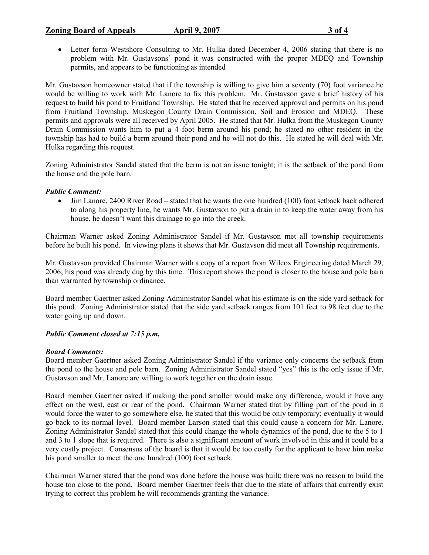# Zoning Board of Appeals April 9, 2007 3 of 4

• Letter form Westshore Consulting to Mr. Hulka dated December 4, 2006 stating that there is no problem with Mr. Gustavsons' pond it was constructed with the proper MDEQ and Township permits, and appears to be functioning as intended

Mr. Gustavson homeowner stated that if the township is willing to give him a seventy (70) foot variance he would be willing to work with Mr. Lanore to fix this problem. Mr. Gustavson gave a brief history of his request to build his pond to Fruitland Township. He stated that he received approval and permits on his pond from Fruitland Township, Muskegon County Drain Commission, Soil and Erosion and MDEQ. These permits and approvals were all received by April 2005. He stated that Mr. Hulka from the Muskegon County Drain Commission wants him to put a 4 foot berm around his pond; he stated no other resident in the township has had to build a berm around their pond and he will not do this. He stated he will deal with Mr. Hulka regarding this request.

Zoning Administrator Sandal stated that the berm is not an issue tonight; it is the setback of the pond from the house and the pole barn.

### Public Comment:

• Jim Lanore, 2400 River Road – stated that he wants the one hundred (100) foot setback back adhered to along his property line, he wants Mr. Gustavson to put a drain in to keep the water away from his house, he doesn't want this drainage to go into the creek.

Chairman Warner asked Zoning Administrator Sandel if Mr. Gustavson met all township requirements before he built his pond. In viewing plans it shows that Mr. Gustavson did meet all Township requirements.

Mr. Gustavson provided Chairman Warner with a copy of a report from Wilcox Engineering dated March 29, 2006; his pond was already dug by this time. This report shows the pond is closer to the house and pole barn than warranted by township ordinance.

Board member Gaertner asked Zoning Administrator Sandel what his estimate is on the side yard setback for this pond. Zoning Administrator stated that the side yard setback ranges from 101 feet to 98 feet due to the water going up and down.

### Public Comment closed at 7:15 p.m.

#### Board Comments:

Board member Gaertner asked Zoning Administrator Sandel if the variance only concerns the setback from the pond to the house and pole barn. Zoning Administrator Sandel stated "yes" this is the only issue if Mr. Gustavson and Mr. Lanore are willing to work together on the drain issue.

Board member Gaertner asked if making the pond smaller would make any difference, would it have any effect on the west, east or rear of the pond. Chairman Warner stated that by filling part of the pond in it would force the water to go somewhere else, he stated that this would be only temporary; eventually it would go back to its normal level. Board member Larson stated that this could cause a concern for Mr. Lanore. Zoning Administrator Sandel stated that this could change the whole dynamics of the pond, due to the 5 to 1 and 3 to 1 slope that is required. There is also a significant amount of work involved in this and it could be a very costly project. Consensus of the board is that it would be too costly for the applicant to have him make his pond smaller to meet the one hundred (100) foot setback.

Chairman Warner stated that the pond was done before the house was built; there was no reason to build the house too close to the pond. Board member Gaertner feels that due to the state of affairs that currently exist trying to correct this problem he will recommends granting the variance.